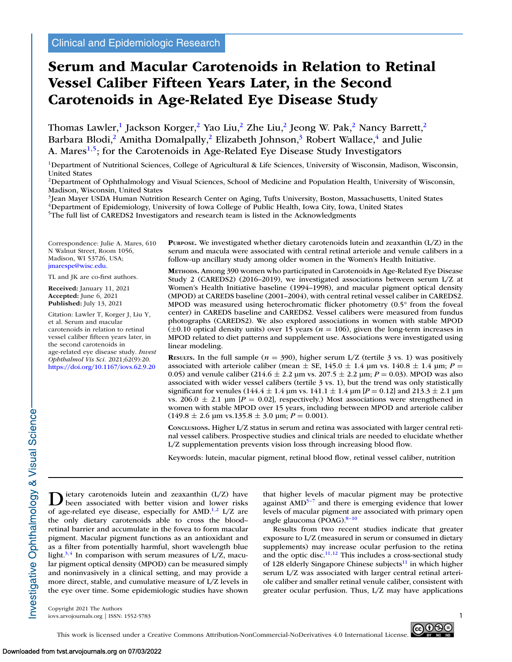# **Serum and Macular Carotenoids in Relation to Retinal Vessel Caliber Fifteen Years Later, in the Second Carotenoids in Age-Related Eye Disease Study**

Thomas Lawler,<sup>1</sup> Jackson Korger,<sup>2</sup> Yao Liu,<sup>2</sup> Zhe Liu,<sup>2</sup> Jeong W. Pak,<sup>2</sup> Nancy Barrett,<sup>2</sup> Barbara Blodi,<sup>2</sup> Amitha Domalpally,<sup>2</sup> Elizabeth Johnson,<sup>3</sup> Robert Wallace,<sup>4</sup> and Julie A. Mares<sup>1,5</sup>; for the Carotenoids in Age-Related Eye Disease Study Investigators

1Department of Nutritional Sciences, College of Agricultural & Life Sciences, University of Wisconsin, Madison, Wisconsin, United States

<sup>2</sup>Department of Ophthalmology and Visual Sciences, School of Medicine and Population Health, University of Wisconsin, Madison, Wisconsin, United States

<sup>3</sup>Jean Mayer USDA Human Nutrition Research Center on Aging, Tufts University, Boston, Massachusetts, United States <sup>4</sup>Department of Epidemiology, University of Iowa College of Public Health, Iowa City, Iowa, United States

5The full list of CAREDS2 Investigators and research team is listed in the Acknowledgments

Correspondence: Julie A. Mares, 610 N Walnut Street, Room 1056, Madison, WI 53726, USA; [jmarespe@wisc.edu.](mailto:jmarespe@wisc.edu.)

TL and JK are co-first authors.

**Received:** January 11, 2021 **Accepted:** June 6, 2021 **Published:** July 13, 2021

Citation: Lawler T, Korger J, Liu Y, et al. Serum and macular carotenoids in relation to retinal vessel caliber fifteen years later, in the second carotenoids in age-related eye disease study. *Invest Ophthalmol Vis Sci.* 2021;62(9):20. <https://doi.org/10.1167/iovs.62.9.20>

**PURPOSE.** We investigated whether dietary carotenoids lutein and zeaxanthin (L/Z) in the serum and macula were associated with central retinal arteriole and venule calibers in a follow-up ancillary study among older women in the Women's Health Initiative.

**METHODS.** Among 390 women who participated in Carotenoids in Age-Related Eye Disease Study 2 (CAREDS2) (2016–2019), we investigated associations between serum L/Z at Women's Health Initiative baseline (1994–1998), and macular pigment optical density (MPOD) at CAREDS baseline (2001–2004), with central retinal vessel caliber in CAREDS2. MPOD was measured using heterochromatic flicker photometry (0.5° from the foveal center) in CAREDS baseline and CAREDS2. Vessel calibers were measured from fundus photographs (CAREDS2). We also explored associations in women with stable MPOD  $(\pm 0.10$  optical density units) over 15 years ( $n = 106$ ), given the long-term increases in MPOD related to diet patterns and supplement use. Associations were investigated using linear modeling.

**RESULTS.** In the full sample ( $n = 390$ ), higher serum L/Z (tertile 3 vs. 1) was positively associated with arteriole caliber (mean  $\pm$  SE, 145.0  $\pm$  1.4 µm vs. 140.8  $\pm$  1.4 µm; *P* = 0.05) and venule caliber (214.6  $\pm$  2.2 µm vs. 207.5  $\pm$  2.2 µm;  $P = 0.03$ ). MPOD was also associated with wider vessel calibers (tertile 3 vs. 1), but the trend was only statistically significant for venules ( $144.4 \pm 1.4$  µm vs.  $141.1 \pm 1.4$  µm [ $P = 0.12$ ] and  $213.3 \pm 2.1$  µm vs. 206.0  $\pm$  2.1 µm [ $P = 0.02$ ], respectively.) Most associations were strengthened in women with stable MPOD over 15 years, including between MPOD and arteriole caliber  $(149.8 \pm 2.6 \text{ µm vs. } 135.8 \pm 3.0 \text{ µm}; P = 0.001).$ 

**CONCLUSIONS.** Higher L/Z status in serum and retina was associated with larger central retinal vessel calibers. Prospective studies and clinical trials are needed to elucidate whether L/Z supplementation prevents vision loss through increasing blood flow.

Keywords: lutein, macular pigment, retinal blood flow, retinal vessel caliber, nutrition

 $\sum$  ietary carotenoids lutein and zeaxanthin (L/Z) have<br>been associated with better vision and lower risks of age-related eye disease, especially for AMD.<sup>1,2</sup> L/Z are the only dietary carotenoids able to cross the blood– retinal barrier and accumulate in the fovea to form macular pigment. Macular pigment functions as an antioxidant and as a filter from potentially harmful, short wavelength blue light.<sup>3,4</sup> In comparison with serum measures of  $L/Z$ , macular pigment optical density (MPOD) can be measured simply and noninvasively in a clinical setting, and may provide a more direct, stable, and cumulative measure of L/Z levels in the eye over time. Some epidemiologic studies have shown

that higher levels of macular pigment may be protective against  $\text{AMD}^{5-7}$  and there is emerging evidence that lower levels of macular pigment are associated with primary open angle glaucoma (POAG).<sup>8-10</sup>

Results from two recent studies indicate that greater exposure to L/Z (measured in serum or consumed in dietary supplements) may increase ocular perfusion to the retina and the optic disc. $11,12$  This includes a cross-sectional study of 128 elderly Singapore Chinese subjects $^{11}$  in which higher serum L/Z was associated with larger central retinal arteriole caliber and smaller retinal venule caliber, consistent with greater ocular perfusion. Thus, L/Z may have applications

Copyright 2021 The Authors iovs.arvojournals.org | ISSN: 1552-5783 1

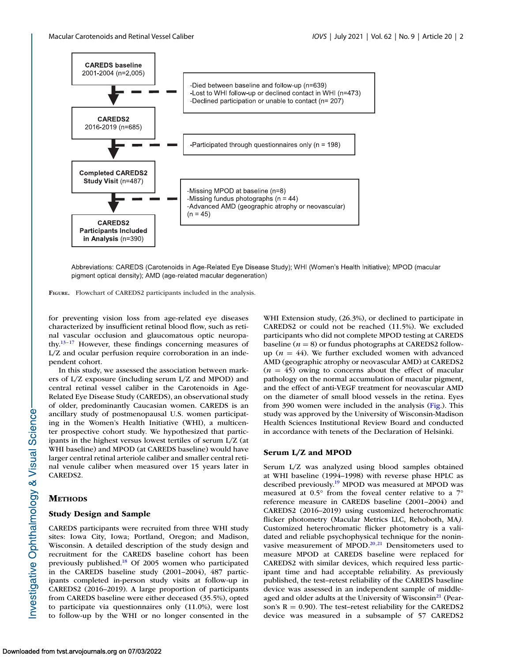

Abbreviations: CAREDS (Carotenoids in Age-Related Eye Disease Study); WHI (Women's Health Initiative); MPOD (macular pigment optical density); AMD (age-related macular degeneration)

**FIGURE.** Flowchart of CAREDS2 participants included in the analysis.

for preventing vision loss from age-related eye diseases characterized by insufficient retinal blood flow, such as retinal vascular occlusion and glaucomatous optic neuropathy.<sup>13–17</sup> However, these findings concerning measures of L/Z and ocular perfusion require corroboration in an independent cohort.

In this study, we assessed the association between markers of L/Z exposure (including serum L/Z and MPOD) and central retinal vessel caliber in the Carotenoids in Age-Related Eye Disease Study (CAREDS), an observational study of older, predominantly Caucasian women. CAREDS is an ancillary study of postmenopausal U.S. women participating in the Women's Health Initiative (WHI), a multicenter prospective cohort study. We hypothesized that participants in the highest versus lowest tertiles of serum L/Z (at WHI baseline) and MPOD (at CAREDS baseline) would have larger central retinal arteriole caliber and smaller central retinal venule caliber when measured over 15 years later in CAREDS2.

## **METHODS**

## **Study Design and Sample**

CAREDS participants were recruited from three WHI study sites: Iowa City, Iowa; Portland, Oregon; and Madison, Wisconsin. A detailed description of the study design and recruitment for the CAREDS baseline cohort has been previously published[.18](#page-8-0) Of 2005 women who participated in the CAREDS baseline study (2001–2004), 487 participants completed in-person study visits at follow-up in CAREDS2 (2016–2019). A large proportion of participants from CAREDS baseline were either deceased (35.5%), opted to participate via questionnaires only (11.0%), were lost to follow-up by the WHI or no longer consented in the

WHI Extension study, (26.3%), or declined to participate in CAREDS2 or could not be reached (11.5%). We excluded participants who did not complete MPOD testing at CAREDS baseline  $(n = 8)$  or fundus photographs at CAREDS2 followup ( $n = 44$ ). We further excluded women with advanced AMD (geographic atrophy or neovascular AMD) at CAREDS2  $(n = 45)$  owing to concerns about the effect of macular pathology on the normal accumulation of macular pigment, and the effect of anti-VEGF treatment for neovascular AMD on the diameter of small blood vessels in the retina. Eyes from 390 women were included in the analysis (Fig.). This study was approved by the University of Wisconsin-Madison Health Sciences Institutional Review Board and conducted in accordance with tenets of the Declaration of Helsinki.

#### **Serum L/Z and MPOD**

Serum L/Z was analyzed using blood samples obtained at WHI baseline (1994–1998) with reverse phase HPLC as described previously[.19](#page-8-0) MPOD was measured at MPOD was measured at 0.5° from the foveal center relative to a 7° reference measure in CAREDS baseline (2001–2004) and CAREDS2 (2016–2019) using customized heterochromatic flicker photometry (Macular Metrics LLC, Rehoboth, MA*).* Customized heterochromatic flicker photometry is a validated and reliable psychophysical technique for the noninvasive measurement of MPOD.<sup>20,21</sup> Densitometers used to measure MPOD at CAREDS baseline were replaced for CAREDS2 with similar devices, which required less participant time and had acceptable reliability. As previously published, the test–retest reliability of the CAREDS baseline device was assessed in an independent sample of middle-aged and older adults at the University of Wisconsin<sup>[21](#page-8-0)</sup> (Pearson's  $R = 0.90$ ). The test–retest reliability for the CAREDS2 device was measured in a subsample of 57 CAREDS2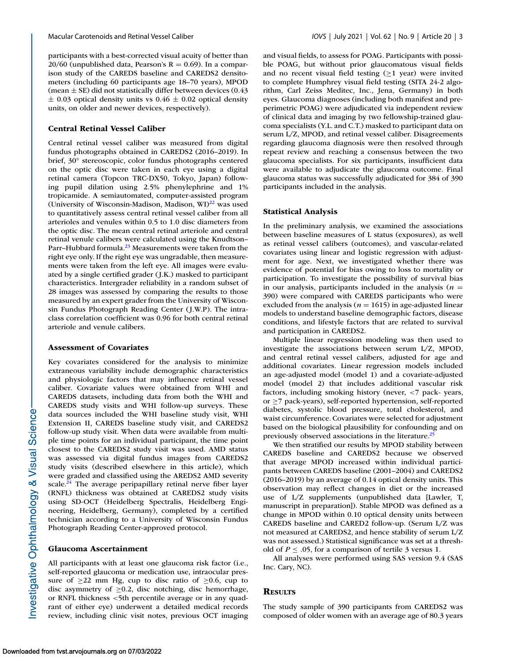participants with a best-corrected visual acuity of better than 20/60 (unpublished data, Pearson's  $R = 0.69$ ). In a comparison study of the CAREDS baseline and CAREDS2 densitometers (including 60 participants age 18–70 years), MPOD (mean  $\pm$  SE) did not statistically differ between devices (0.43  $\pm$  0.03 optical density units vs 0.46  $\pm$  0.02 optical density units, on older and newer devices, respectively).

#### **Central Retinal Vessel Caliber**

Central retinal vessel caliber was measured from digital fundus photographs obtained in CAREDS2 (2016–2019). In brief, 30° stereoscopic, color fundus photographs centered on the optic disc were taken in each eye using a digital retinal camera (Topcon TRC-DX50, Tokyo, Japan) following pupil dilation using 2.5% phenylephrine and 1% tropicamide. A semiautomated, computer-assisted program (University of Wisconsin-Madison, Madison, WI) $^{22}$  was used to quantitatively assess central retinal vessel caliber from all arterioles and venules within 0.5 to 1.0 disc diameters from the optic disc. The mean central retinal arteriole and central retinal venule calibers were calculated using the Knudtson– Parr-Hubbard formula.<sup>23</sup> Measurements were taken from the right eye only. If the right eye was ungradable, then measurements were taken from the left eye. All images were evaluated by a single certified grader ( J.K.) masked to participant characteristics. Intergrader reliability in a random subset of 28 images was assessed by comparing the results to those measured by an expert grader from the University of Wisconsin Fundus Photograph Reading Center ( J.W.P). The intraclass correlation coefficient was 0.96 for both central retinal arteriole and venule calibers.

#### **Assessment of Covariates**

Key covariates considered for the analysis to minimize extraneous variability include demographic characteristics and physiologic factors that may influence retinal vessel caliber. Covariate values were obtained from WHI and CAREDS datasets, including data from both the WHI and CAREDS study visits and WHI follow-up surveys. These data sources included the WHI baseline study visit, WHI Extension II, CAREDS baseline study visit, and CAREDS2 follow-up study visit. When data were available from multiple time points for an individual participant, the time point closest to the CAREDS2 study visit was used. AMD status was assessed via digital fundus images from CAREDS2 study visits (described elsewhere in this article), which were graded and classified using the AREDS2 AMD severity scale. $24$  The average peripapillary retinal nerve fiber layer (RNFL) thickness was obtained at CAREDS2 study visits using SD-OCT (Heidelberg Spectralis, Heidelberg Engineering, Heidelberg, Germany), completed by a certified technician according to a University of Wisconsin Fundus Photograph Reading Center-approved protocol.

#### **Glaucoma Ascertainment**

All participants with at least one glaucoma risk factor (i.e., self-reported glaucoma or medication use, intraocular pressure of  $>22$  mm Hg, cup to disc ratio of  $>0.6$ , cup to disc asymmetry of  $\geq 0.2$ , disc notching, disc hemorrhage, or RNFL thickness <5th percentile average or in any quadrant of either eye) underwent a detailed medical records review, including clinic visit notes, previous OCT imaging and visual fields, to assess for POAG. Participants with possible POAG, but without prior glaucomatous visual fields and no recent visual field testing  $(\geq 1$  year) were invited to complete Humphrey visual field testing (SITA 24-2 algorithm, Carl Zeiss Meditec, Inc., Jena, Germany) in both eyes*.* Glaucoma diagnoses (including both manifest and preperimetric POAG) were adjudicated via independent review of clinical data and imaging by two fellowship-trained glaucoma specialists (Y.L. and C.T.) masked to participant data on serum L/Z, MPOD, and retinal vessel caliber. Disagreements regarding glaucoma diagnosis were then resolved through repeat review and reaching a consensus between the two glaucoma specialists. For six participants, insufficient data were available to adjudicate the glaucoma outcome. Final glaucoma status was successfully adjudicated for 384 of 390 participants included in the analysis.

#### **Statistical Analysis**

In the preliminary analysis, we examined the associations between baseline measures of L status (exposures), as well as retinal vessel calibers (outcomes), and vascular-related covariates using linear and logistic regression with adjustment for age. Next, we investigated whether there was evidence of potential for bias owing to loss to mortality or participation. To investigate the possibility of survival bias in our analysis, participants included in the analysis  $(n =$ 390) were compared with CAREDS participants who were excluded from the analysis ( $n = 1615$ ) in age-adjusted linear models to understand baseline demographic factors, disease conditions, and lifestyle factors that are related to survival and participation in CAREDS2.

Multiple linear regression modeling was then used to investigate the associations between serum L/Z, MPOD, and central retinal vessel calibers, adjusted for age and additional covariates. Linear regression models included an age-adjusted model (model 1) and a covariate-adjusted model (model 2) that includes additional vascular risk factors, including smoking history (never, <7 pack- years, or ≥7 pack-years), self-reported hypertension, self-reported diabetes, systolic blood pressure, total cholesterol, and waist circumference. Covariates were selected for adjustment based on the biological plausibility for confounding and on previously observed associations in the literature.<sup>25</sup>

We then stratified our results by MPOD stability between CAREDS baseline and CAREDS2 because we observed that average MPOD increased within individual participants between CAREDS baseline (2001–2004) and CAREDS2 (2016–2019) by an average of 0.14 optical density units. This observation may reflect changes in diet or the increased use of L/Z supplements (unpublished data [Lawler, T, manuscript in preparation]). Stable MPOD was defined as a change in MPOD within 0.10 optical density units between CAREDS baseline and CARED2 follow-up. (Serum L/Z was not measured at CAREDS2, and hence stability of serum L/Z was not assessed.) Statistical significance was set at a threshold of  $P \leq 0.05$ , for a comparison of tertile 3 versus 1.

All analyses were performed using SAS version 9.4 (SAS Inc. Cary, NC).

## **RESULTS**

The study sample of 390 participants from CAREDS2 was composed of older women with an average age of 80.3 years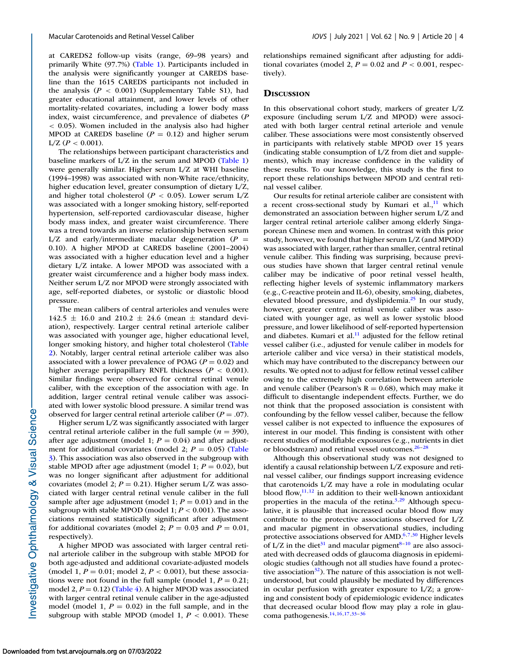primarily White (97.7%) [\(Table 1\)](#page-4-0). Participants included in the analysis were significantly younger at CAREDS baseline than the 1615 CAREDS participants not included in the analysis  $(P < 0.001)$  (Supplementary Table S1), had greater educational attainment, and lower levels of other mortality-related covariates, including a lower body mass index, waist circumference, and prevalence of diabetes (*P* < 0.05). Women included in the analysis also had higher MPOD at CAREDS baseline  $(P = 0.12)$  and higher serum  $L/Z$  ( $P < 0.001$ ).

The relationships between participant characteristics and baseline markers of L/Z in the serum and MPOD [\(Table 1\)](#page-4-0) were generally similar. Higher serum L/Z at WHI baseline (1994–1998) was associated with non-White race/ethnicity, higher education level, greater consumption of dietary L/Z, and higher total cholesterol ( $P < 0.05$ ). Lower serum L/Z was associated with a longer smoking history, self-reported hypertension, self-reported cardiovascular disease, higher body mass index, and greater waist circumference. There was a trend towards an inverse relationship between serum  $L/Z$  and early/intermediate macular degeneration ( $P =$ 0.10). A higher MPOD at CAREDS baseline (2001–2004) was associated with a higher education level and a higher dietary L/Z intake. A lower MPOD was associated with a greater waist circumference and a higher body mass index. Neither serum L/Z nor MPOD were strongly associated with age, self-reported diabetes, or systolic or diastolic blood pressure.

The mean calibers of central arterioles and venules were  $142.5 \pm 16.0$  and  $210.2 \pm 24.6$  (mean  $\pm$  standard deviation), respectively. Larger central retinal arteriole caliber was associated with younger age, higher educational level, longer smoking history, and higher total cholesterol (Table [2\). Notably, larger central retinal arteriole caliber was also](#page-5-0) associated with a lower prevalence of POAG (*P* = 0.02) and higher average peripapillary RNFL thickness (*P* < 0.001). Similar findings were observed for central retinal venule caliber, with the exception of the association with age. In addition, larger central retinal venule caliber was associated with lower systolic blood pressure. A similar trend was observed for larger central retinal arteriole caliber (*P* = .07).

Higher serum L/Z was significantly associated with larger central retinal arteriole caliber in the full sample ( $n = 390$ ), after age adjustment (model 1;  $P = 0.04$ ) and after adjustment for additional covariates (model 2;  $P = 0.05$ ) (Table [3\). This association was also observed in the subgroup with](#page-6-0) stable MPOD after age adjustment (model 1;  $P = 0.02$ ), but was no longer significant after adjustment for additional covariates (model 2;  $P = 0.21$ ). Higher serum L/Z was associated with larger central retinal venule caliber in the full sample after age adjustment (model 1;  $P = 0.01$ ) and in the subgroup with stable MPOD (model 1; *P* < 0.001). The associations remained statistically significant after adjustment for additional covariates (model 2;  $P = 0.03$  and  $P = 0.01$ , respectively).

A higher MPOD was associated with larger central retinal arteriole caliber in the subgroup with stable MPOD for both age-adjusted and additional covariate-adjusted models (model 1,  $P = 0.01$ ; model 2,  $P < 0.001$ ), but these associations were not found in the full sample (model 1,  $P = 0.21$ ; model 2,  $P = 0.12$ ) [\(Table 4\)](#page-6-0). A higher MPOD was associated with larger central retinal venule caliber in the age-adjusted model (model 1,  $P = 0.02$ ) in the full sample, and in the subgroup with stable MPOD (model 1,  $P < 0.001$ ). These

tively).

In this observational cohort study, markers of greater L/Z exposure (including serum L/Z and MPOD) were associated with both larger central retinal arteriole and venule caliber. These associations were most consistently observed in participants with relatively stable MPOD over 15 years (indicating stable consumption of L/Z from diet and supplements), which may increase confidence in the validity of these results. To our knowledge, this study is the first to report these relationships between MPOD and central retinal vessel caliber.

Our results for retinal arteriole caliber are consistent with a recent cross-sectional study by Kumari et al., $^{11}$  which demonstrated an association between higher serum L/Z and larger central retinal arteriole caliber among elderly Singaporean Chinese men and women. In contrast with this prior study, however, we found that higher serum L/Z (and MPOD) was associated with larger, rather than smaller, central retinal venule caliber. This finding was surprising, because previous studies have shown that larger central retinal venule caliber may be indicative of poor retinal vessel health, reflecting higher levels of systemic inflammatory markers (e.g., C-reactive protein and IL-6), obesity, smoking, diabetes, elevated blood pressure, and dyslipidemia[.25](#page-8-0) In our study, however, greater central retinal venule caliber was associated with younger age, as well as lower systolic blood pressure, and lower likelihood of self-reported hypertension and diabetes. Kumari et al. $^{11}$  adjusted for the fellow retinal vessel caliber (i.e., adjusted for venule caliber in models for arteriole caliber and vice versa) in their statistical models, which may have contributed to the discrepancy between our results. We opted not to adjust for fellow retinal vessel caliber owing to the extremely high correlation between arteriole and venule caliber (Pearson's  $R = 0.68$ ), which may make it difficult to disentangle independent effects. Further, we do not think that the proposed association is consistent with confounding by the fellow vessel caliber, because the fellow vessel caliber is not expected to influence the exposures of interest in our model. This finding is consistent with other recent studies of modifiable exposures (e.g., nutrients in diet or bloodstream) and retinal vessel outcomes[.26–28](#page-8-0)

Although this observational study was not designed to identify a causal relationship between L/Z exposure and retinal vessel caliber, our findings support increasing evidence that carotenoids L/Z may have a role in modulating ocular blood flow, $11,12$  in addition to their well-known antioxidant properties in the macula of the retina.<sup>3,29</sup> Although speculative, it is plausible that increased ocular blood flow may contribute to the protective associations observed for L/Z and macular pigment in observational studies, including protective associations observed for AMD.<sup>6,7,30</sup> Higher levels of L/Z in the diet<sup>[31](#page-8-0)</sup> and macular pigment<sup>8-10</sup> are also associated with decreased odds of glaucoma diagnosis in epidemiologic studies (although not all studies have found a protective association<sup>32</sup>). The nature of this association is not wellunderstood, but could plausibly be mediated by differences in ocular perfusion with greater exposure to L/Z; a growing and consistent body of epidemiologic evidence indicates that decreased ocular blood flow may play a role in glaucoma pathogenesis[.14,16,17,33–36](#page-8-0)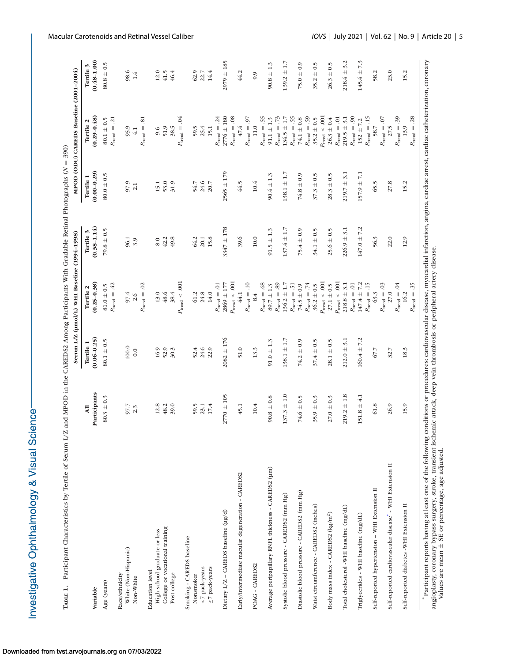| $S = S$                     |  |
|-----------------------------|--|
| 2 Minuo<br>ี<br>-<br>-      |  |
| )、is clear<br>$\frac{1}{2}$ |  |
| こうこうくろうく<br>١               |  |

<span id="page-4-0"></span>

| TABLE 1. Participant Characteristics by Tertile of Serum L/Z |                                 |                              |                                              |                              | and MPOD in the CAREDS2 Among Participants With Gradable Retinal Photographs $(N = 390)$ |                                             |                              |
|--------------------------------------------------------------|---------------------------------|------------------------------|----------------------------------------------|------------------------------|------------------------------------------------------------------------------------------|---------------------------------------------|------------------------------|
|                                                              |                                 |                              | Serum L/Z (µmol/L) WHI Baseline (1994-1998)  |                              |                                                                                          | MPOD (ODU) CAREDS Baseline (2001-2004)      |                              |
| Variable                                                     | Participants<br>$\overline{AB}$ | $(0.06 - 0.25)$<br>Tertile 1 | $(0.25 - 0.38)$<br>Tertile 2                 | $(0.38 - 1.14)$<br>Tertile 3 | $(0.00 - 0.29)$<br>Tertile 1                                                             | $(0.29 - 0.48)$<br>Tertile 2                | $(0.48 - 1.00)$<br>Tertile 3 |
| Age (years)                                                  | $80.3 \pm 0.3$                  | $80.1 \pm 0.5$               | $81.0 \pm 0.5$                               | $79.8 \pm 0.5$               | $80.0 \pm 0.5$                                                                           | $80.1 \pm 0.5$                              | $80.8 \pm 0.5$               |
|                                                              |                                 |                              | $P_{\text{trend}} = .42$                     |                              |                                                                                          | $P_{\text{trend}} = .21$                    |                              |
| White (Non-Hispanic)<br>Race/ethnicity                       | 97.7                            | $100.0$                      |                                              | 96.1                         |                                                                                          | 95.9                                        | 98.6                         |
| Non-White                                                    | $2.\overline{3}$                | 0.0                          | $97.4$<br>2.6                                | 3.9                          | 97.9                                                                                     | $4.1\,$                                     | $1.4\,$                      |
|                                                              |                                 |                              | $P_{\mathrm{trend}} = .02$                   |                              |                                                                                          | $P_{\text{trend}} = .81$                    |                              |
| <b>Education</b> level                                       |                                 |                              |                                              |                              |                                                                                          |                                             |                              |
| High school graduate or less                                 | 12.8<br>48.2                    | 16.9                         | $13.0$<br>48.6                               | 42.2<br>8.0                  | 15.1                                                                                     | 51.9<br>9.6                                 | 12.0<br>41.5                 |
| College or vocational training<br>Post college               | 39.0                            | 52.9<br>30.3                 | 38.4                                         | 49.8                         | 53.0<br>31.9                                                                             | 38.5                                        | 46.4                         |
|                                                              |                                 |                              | $P_{\rm trend} < .001$                       |                              |                                                                                          | $P_{\text{trend}} = .04$                    |                              |
| Smoking - CAREDS baseline                                    |                                 |                              |                                              |                              |                                                                                          |                                             |                              |
| Nonsmoker                                                    | 59.5                            | 52.4                         | 61.2                                         | 64.2                         | 54.7                                                                                     | 59.5                                        | 62.9                         |
| <7 pack-years                                                | 23.1                            | 24.6                         | 24.8                                         | 20.1                         | 24.6                                                                                     | 25.4                                        | 22.7                         |
| ≥7 pack-years                                                | 17.4                            | 22.9                         | 14.0                                         | 15.8                         | 20.7                                                                                     | 15.1                                        | 14.4                         |
|                                                              |                                 |                              | $P_{\mathrm{trend}} = .01$                   |                              |                                                                                          | $P_{\text{trend}} = .24$                    |                              |
| Dietary L/Z - CAREDS baseline (µg/d)                         | $2770 \pm 105$                  | $2082 \pm 176$               | $P_{\text{trend}} < .001$<br>$2869 \pm 177$  | $3347 \pm 178$               | $2565 \pm 179$                                                                           | $P_{\text{trend}} = .08$<br>$2776 \pm 180$  | $2979 \pm 185$               |
| Early/intermediate macular degeneration - CAREDS2            | 45.1                            | 51.0                         | 44.1                                         | 39.6                         | 44.5                                                                                     | 47.4                                        | 44.2                         |
|                                                              |                                 |                              | $P_{\mathrm{trend}} = .10$                   |                              |                                                                                          | $P_{\text{trend}} = .97$                    |                              |
| POAG - CAREDS2                                               | $10.4\,$                        | 13.3                         | 8.4                                          | $10.0$                       | $10.4\,$                                                                                 | 11.0                                        | 9.9                          |
|                                                              |                                 |                              | $P_{\text{trend}} = .68$                     |                              |                                                                                          | $P_{\text{trend}} = .55$                    |                              |
| Average peripapillary RNFL thickness - CAREDS2 (um)          | $90.8 \pm 0.8$                  | $91.0 \pm 1.3$               | $89.7 \pm 1.3$                               | $91.5 \pm 1.3$               | $90.4 \pm 1.3$                                                                           | $91.1 \pm 1.3$                              | $90.8 \pm 1.3$               |
| Systolic blood pressure - CAREDS2 (mm Hg)                    | $137.3 \pm 1.0$                 | $138.1 \pm 1.7$              | $P_{\text{trend}} = .89$<br>$136.2 \pm 1.7$  | $137.4 \pm 1.7$              | $138.1 \pm 1.7$                                                                          | $P_{\text{trend}} = .73$<br>$134.5 \pm 1.7$ | $139.2 \pm 1.7$              |
| Diastolic blood pressure - CAREDS2 (mm Hg)                   | $74.6 \pm 0.5$                  | $74.2 \pm 0.9$               | $P_{\text{trend}} = .51$<br>$74.5 \pm 0.9$   | $75.4 \pm 0.9$               | $74.8 \pm 0.9$                                                                           | $P_{\text{trend}} = .55$<br>$74.1\pm0.8$    |                              |
|                                                              |                                 |                              |                                              |                              |                                                                                          |                                             | $75.0 \pm 0.9$               |
| Waist circumference - CAREDS2 (inches)                       | $35.9 \pm 0.3$                  | $37.4 \pm 0.5$               | $P_{\text{trend}} = .74$<br>$36.2 \pm 0.5$   | $34.1 \pm 0.5$               | $37.3 \pm 0.5$                                                                           | $P_{\text{trend}} = .59$<br>$35.2 \pm 0.5$  | $35.2 \pm 0.5$               |
| Body mass index - CAREDS2 (kg/m <sup>2</sup> )               | $27.0 \pm 0.3$                  | $28.1 \pm 0.5$               | $P_{\mathrm{trend}} < .001$<br>$27.1\pm0.5$  | $25.6 \pm 0.5$               | $28.3 \pm 0.5$                                                                           | $P_{\rm trend} < .001$<br>$26.3\pm0.4$      | $26.3 \pm 0.5$               |
| Total cholesterol -WHI baseline (mg/dL)                      | $219.2 \pm 1.8$                 | $212.0 \pm 3.1$              | $P_{\text{trend}} < .001$<br>$218.8 \pm 3.1$ | 3.1<br>$226.9 \pm$           | 3.1<br>$219.7 \pm$                                                                       | $P_{\text{trend}} = .01$<br>$219.5 \pm 3.1$ | 3.2<br>$218.4 \pm$           |
| Triglycerides - WHI baseline (mg/dL)                         | $151.8 \pm 4.1$                 | $160.4 \pm 7.2$              | $147.4 \pm 7.2$<br>$P_{\text{trend}} = .01$  | $147.0 \pm 7.2$              | $157.9 \pm 7.1$                                                                          | $P_{\text{trend}} = .90$<br>$152 \pm 7.2$   | $145.4 \pm 7.3$              |
|                                                              |                                 |                              | $P_{\text{trend}} = .15$                     |                              |                                                                                          | $P_{\text{trend}} = .15$                    |                              |
| Self-reported hypertension - WHI Extension II                | 61.8                            | 67.7                         | 63.3                                         | 56.3                         | 65.5                                                                                     | 58.7                                        | 58.2                         |
| Self-reported cardiovascular disease" - WHI Extension II     | 26.9                            | 32.7                         | $P_{\text{trend}} = .03$<br>27.0             | 22.0                         | 27.8                                                                                     | $P_{\mathrm{trend}} = .07$<br>27.5          | 23.0                         |
|                                                              |                                 |                              | $P_{\mathrm{trend}} = .04$                   |                              |                                                                                          | $P_{\text{trend}} = .39$                    |                              |
| Self-reported diabetes -WHI Extension II                     | 15.9                            | $18.3$                       | 16.2                                         | 12.9                         | 15.2                                                                                     | 13.9                                        | 15.2                         |

 Participant reports having at least one of the following conditions or procedures: cardiovascular disease, myocardial infarction, angina, cardiac arrest, cardiac catheterization, coronary angioplasty, coronary bypass surgery, stroke, transient ischemic attack, deep vein thrombosis or peripheral artery disease. Values are mean  $^+$ SE or percentage, age adjusted.

 $P_{\text{trend}} = .35$ 

 $P_{\text{trend}} = .28$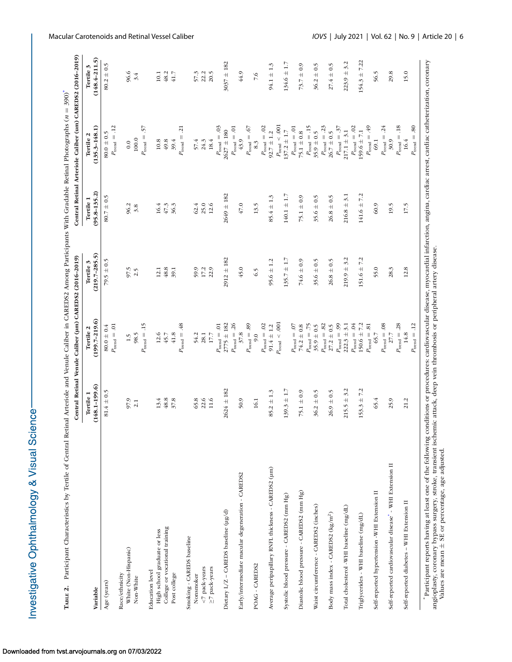| $\frac{1}{2}$<br>į |      |
|--------------------|------|
| i                  |      |
|                    |      |
| $\frac{1}{2}$<br>J |      |
| i                  | ֚֘֝֕ |
|                    |      |

| tral Retinal Arteriole and Venule Caliber in CAREDS2 Among Participants With Gradable Retinal Photographs (n = 390)<br>Central Retinal Venule Caliber (um) CAREDS2 (2016-2019)<br>$\frac{1}{2}$<br>Tertile 2<br>$\frac{1}{2}$<br>Tertile 1 |
|--------------------------------------------------------------------------------------------------------------------------------------------------------------------------------------------------------------------------------------------|
|--------------------------------------------------------------------------------------------------------------------------------------------------------------------------------------------------------------------------------------------|

<span id="page-5-0"></span>

|                                                          |                                | Central Retinal Venule Caliber (µm) CAREDS2 (2016-2019) |                                |                               | Central Retinal Arteriole Caliber (um) CAREDS2 (2016-2019) |                                |
|----------------------------------------------------------|--------------------------------|---------------------------------------------------------|--------------------------------|-------------------------------|------------------------------------------------------------|--------------------------------|
| Variable                                                 | $(148.1 - 199.6)$<br>Tertile 1 | $(199.7 - 219.6)$<br>Tertile 2                          | $(219.7 - 285.5)$<br>Tertile 3 | $(95.8 - 135.2)$<br>Tertile 1 | $(135.3 - 148.1)$<br>Tertile 2                             | $(148.4 - 211.5)$<br>Tertile 3 |
| Age (years)                                              | $81.4 \pm 0.5$                 | $80.0 \pm 0.4$                                          | $79.5 \pm 0.5$                 | $80.7 \pm 0.5$                | $80.0\pm0.5$                                               | $80.2 \pm 0.5$                 |
|                                                          |                                | $P_{\mathrm{trend}} = .01$                              |                                |                               | $P_{\text{trend}} = .12$                                   |                                |
| White (Non-Hispanic)<br>Race/ethnicity                   |                                |                                                         |                                | 96.2                          | 0.0                                                        | 96.6                           |
| Non-White                                                | 97.9<br>2.1                    | 98.5<br>1.5                                             | 97.5                           | 3.8                           | $100.0$                                                    | 3.4                            |
|                                                          |                                | $P_{\text{trend}} = .15$                                |                                |                               | 57<br>$P_{\text{trend}} =$                                 |                                |
| <b>Education</b> level                                   |                                |                                                         |                                |                               |                                                            |                                |
| High school graduate or less                             | 13.4                           | $12.6$                                                  | 12.1                           | 16.4                          | 10.8                                                       | 10.1                           |
| College or vocational training                           | 48.8                           | 45.7                                                    | 48.8                           | 47.3                          | 49.8                                                       | 48.2                           |
| Post college                                             | 37.8                           | $41.8$                                                  | 39.1                           | 36.3                          | 39.4                                                       | 41.7                           |
|                                                          |                                | $P_{\text{trend}} = .48$                                |                                |                               | $P_{\text{trend}} = .21$                                   |                                |
| Smoking - CAREDS baseline<br>Nonsmoker                   | 65.8                           | 54.2                                                    | 59.9                           | 62.4                          | 57.4                                                       | 57.3                           |
| <7 pack-years                                            | 22.6                           | 28.1                                                    | 17.2                           | 25.0                          | 24.3                                                       | 22.2                           |
| ≥7 pack-years                                            | 11.6                           | $17.7\,$                                                | 22.9                           | 12.6                          | 18.4                                                       | 20.5                           |
|                                                          |                                | $P_{\text{trend}} = .01$                                |                                |                               | $P_{\text{trend}} = .03$                                   |                                |
| Dietary L/Z - CAREDS baseline (µg/d)                     | $2624 \pm 182$                 | $2775 \pm 182$                                          | $2912 \pm 182$                 | $2649 \pm 182$                | $2627 \pm 180$                                             | $3037 \pm 182$                 |
| Early/intermediate macular degeneration - CAREDS2        | 50.9                           | $P_{\text{trend}} = .26$<br>37.8                        | 45.0                           | $47.0$                        | $P_{\mathrm{tend}} = .01$<br>43.9                          | 44.9                           |
|                                                          |                                | $P_{\text{trend}} = .89$                                |                                |                               | $P_{\text{trend}} = .67$                                   |                                |
| POAG - CAREDS2                                           | 16.1                           | 9.0                                                     | 6.5                            | 13.5                          | 8.3                                                        | 7.6                            |
|                                                          |                                | $P_{\text{trend}} = .02$                                |                                |                               | $P_{\text{trend}} = .02$                                   |                                |
| Average peripapillary RNFL thickness - CAREDS2 (um)      | $85.2 \pm 1.3$                 | $91.4 \pm 1.2$                                          | $95.6 \pm 1.2$                 | $85.4 \pm 1.3$                | $92.7 \pm 1.2$                                             | $94.1 \pm 1.3$                 |
|                                                          |                                | $P_{\text{trend}} < .001$                               |                                |                               | $P_{\text{trend}} < .001$                                  |                                |
| Systolic blood pressure - CAREDS2 (mm Hg)                | $139.3 \pm 1.7$                |                                                         | $135.7 \pm 1.7$                | $140.1 \pm 1.7$               | $137.2 \pm 1.7$                                            | $134.6 \pm 1.7$                |
|                                                          |                                | $P_{\text{trend}} = .07$                                |                                |                               | $P_{\mathrm{trend}} = .01$<br>$75.1\pm0.8$                 |                                |
| Diastolic blood pressure - CAREDS2 (mm Hg)               | $75.1 \pm 0.9$                 | $P_{\text{tend}} = .75$<br>$74.2 \pm 0.8$               | $74.6 \pm 0.9$                 | $75.1 \pm 0.9$                | $P_{\text{trend}} = .15$                                   | $73.7 \pm 0.9$                 |
| Waist circumference - CAREDS2 (inches)                   | $36.2 \pm 0.5$                 | $35.9 \pm 0.5$                                          | $35.6 \pm 0.5$                 | $35.6 \pm 0.5$                | $35.9\pm0.5$                                               | $36.2 \pm 0.5$                 |
|                                                          |                                | $P_{\text{trend}} = .82$                                |                                |                               | $P_{\text{trend}} = .23$                                   |                                |
| Body mass index - CAREDS2 (kg/m <sup>2</sup> )           | $26.9 \pm 0.5$                 | $27.2 \pm 0.5$                                          | $26.8 \pm 0.5$                 | $26.8 \pm 0.5$                | $26.7 \pm 0.5$                                             | $27.4 \pm 0.5$                 |
|                                                          |                                | $P_{\text{trend}} = .99$                                |                                |                               | $P_{\text{trend}} = .37$                                   |                                |
| Total cholesterol -WHI baseline (mg/dL)                  | $215.5 \pm 3.2$                | $222.3 \pm 3.1$                                         | $219.9 \pm 3.2$                | $216.8 \pm 3.$                | $217.1 \pm 3.1$                                            | $223.9 \pm 3.2$                |
| Triglycerides - WHI baseline (mg/dL)                     | $153.3 \pm 7.2$                | $150.6 \pm 7.2$<br>$P_{\text{trend}} = .04$             | $151.6 \pm 7.2$                | $141.6 \pm 7.2$               | $P_{\rm trend} = .02$<br>$159.6 \pm 7.1$                   | $154.3 \pm 7.22$               |
|                                                          |                                | $P_{\text{trend}} = .81$                                |                                |                               | $P_{\text{trend}} = .49$                                   |                                |
| Self-reported hypertension -WHI Extension II             | 65.4                           | 65.7                                                    | 55.0                           | 60.9                          | 69.1                                                       | 56.5                           |
|                                                          |                                | $P_{\text{trend}} = .08$                                |                                |                               | $P_{\text{trend}} = .24$                                   |                                |
| Self-reported cardiovascular disease* - WHI Extension II | 25.9                           | 27.7                                                    | 28.3                           | 19.5                          | 30.9                                                       | 29.8                           |
| Self-reported diabetes - WHI Extension II                | 21.2                           | $P_{\text{trend}} = .28$<br>14.8                        | 12.8                           | 17.5                          | $P_{\text{tend}} = .18$<br>16.4                            | 15.0                           |
|                                                          |                                | $P_{\text{trend}} = .12$                                |                                |                               | $P_{\text{trend}} = .80$                                   |                                |
|                                                          |                                |                                                         |                                |                               |                                                            |                                |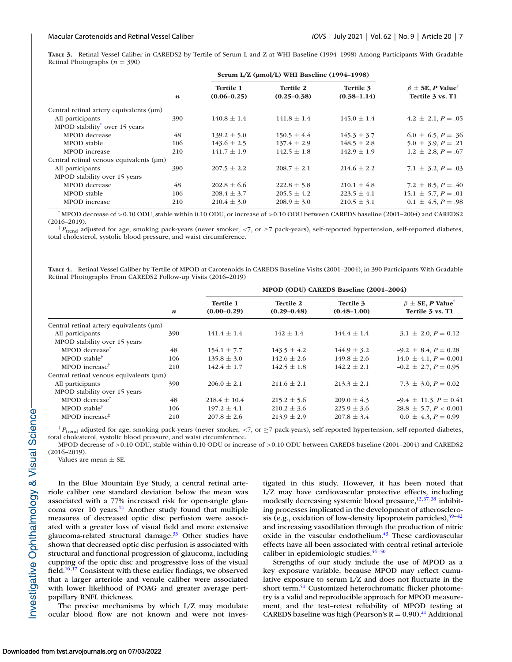<span id="page-6-0"></span>**TABLE 3.** Retinal Vessel Caliber in CAREDS2 by Tertile of Serum L and Z at WHI Baseline (1994–1998) Among Participants With Gradable Retinal Photographs  $(n = 390)$ 

|                                           |                  |                                     | Serum L/Z (µmol/L) WHI Baseline (1994-1998) |                              |                                                          |
|-------------------------------------------|------------------|-------------------------------------|---------------------------------------------|------------------------------|----------------------------------------------------------|
|                                           | $\boldsymbol{n}$ | <b>Tertile 1</b><br>$(0.06 - 0.25)$ | <b>Tertile 2</b><br>$(0.25 - 0.38)$         | Tertile 3<br>$(0.38 - 1.14)$ | $\beta \pm$ SE, P Value <sup>†</sup><br>Tertile 3 vs. T1 |
| Central retinal artery equivalents (um)   |                  |                                     |                                             |                              |                                                          |
| All participants                          | 390              | $140.8 \pm 1.4$                     | $141.8 \pm 1.4$                             | $145.0 \pm 1.4$              | $4.2 \pm 2.1, P = .05$                                   |
| MPOD stability <sup>*</sup> over 15 years |                  |                                     |                                             |                              |                                                          |
| MPOD decrease                             | 48               | $139.2 \pm 5.0$                     | $150.5 \pm 4.4$                             | $145.3 \pm 3.7$              | $6.0 \pm 6.5, P = .36$                                   |
| MPOD stable                               | 106              | $143.6 \pm 2.5$                     | $137.4 \pm 2.9$                             | $148.5 \pm 2.8$              | $5.0 \pm 3.9, P = .21$                                   |
| MPOD increase                             | 210              | $141.7 \pm 1.9$                     | $142.5 \pm 1.8$                             | $142.9 \pm 1.9$              | $1.2 \pm 2.8, P = .67$                                   |
| Central retinal venous equivalents (um)   |                  |                                     |                                             |                              |                                                          |
| All participants                          | 390              | $207.5 \pm 2.2$                     | $208.7 \pm 2.1$                             | $214.6 \pm 2.2$              | $7.1 \pm 3.2, P = .03$                                   |
| MPOD stability over 15 years              |                  |                                     |                                             |                              |                                                          |
| MPOD decrease                             | 48               | $202.8 \pm 6.6$                     | $222.8 \pm 5.8$                             | $210.1 \pm 4.8$              | $7.2 \pm 8.5, P = .40$                                   |
| MPOD stable                               | 106              | $208.4 \pm 3.7$                     | $205.5 \pm 4.2$                             | $223.5 \pm 4.1$              | $15.1 \pm 5.7, P = .01$                                  |
| MPOD increase                             | 210              | $210.4 \pm 3.0$                     | $208.9 \pm 3.0$                             | $210.5 \pm 3.1$              | $0.1 \pm 4.5, P = .98$                                   |

\* MPOD decrease of >0.10 ODU, stable within 0.10 ODU, or increase of >0.10 ODU between CAREDS baseline (2001–2004) and CAREDS2 (2016–2019).

† *<sup>P</sup>*trend adjusted for age, smoking pack-years (never smoker, <sup>&</sup>lt;7, or <sup>≥</sup>7 pack-years), self-reported hypertension, self-reported diabetes, total cholesterol, systolic blood pressure, and waist circumference.

**TABLE 4.** Retinal Vessel Caliber by Tertile of MPOD at Carotenoids in CAREDS Baseline Visits (2001–2004), in 390 Participants With Gradable Retinal Photographs From CAREDS2 Follow-up Visits (2016–2019)

|                                           |                  |                                   |                                     | MPOD (ODU) CAREDS Baseline (2001-2004) |                                                          |
|-------------------------------------------|------------------|-----------------------------------|-------------------------------------|----------------------------------------|----------------------------------------------------------|
|                                           | $\boldsymbol{n}$ | <b>Tertile 1</b><br>$(0.00-0.29)$ | <b>Tertile 2</b><br>$(0.29 - 0.48)$ | Tertile 3<br>$(0.48 - 1.00)$           | $\beta \pm$ SE, P Value <sup>†</sup><br>Tertile 3 vs. T1 |
| Central retinal artery equivalents (µm)   |                  |                                   |                                     |                                        |                                                          |
| All participants                          | 390              | $141.4 \pm 1.4$                   | $142 \pm 1.4$                       | $144.4 \pm 1.4$                        | $3.1 \pm 2.0, P = 0.12$                                  |
| MPOD stability over 15 years              |                  |                                   |                                     |                                        |                                                          |
| MPOD decrease <sup>®</sup>                | 48               | $154.1 \pm 7.7$                   | $143.5 \pm 4.2$                     | $144.9 \pm 3.2$                        | $-9.2 \pm 8.4, P = 0.28$                                 |
| MPOD stable <sup>†</sup>                  | 106              | $135.8 \pm 3.0$                   | $142.6 \pm 2.6$                     | $149.8 \pm 2.6$                        | $14.0 \pm 4.1, P = 0.001$                                |
| MPOD increase $\ddagger$                  | 210              | $142.4 \pm 1.7$                   | $142.5 \pm 1.8$                     | $142.2 \pm 2.1$                        | $-0.2 \pm 2.7, P = 0.95$                                 |
| Central retinal venous equivalents (um)   |                  |                                   |                                     |                                        |                                                          |
| All participants                          | 390              | $206.0 \pm 2.1$                   | $211.6 \pm 2.1$                     | $213.3 \pm 2.1$                        | $7.3 \pm 3.0, P = 0.02$                                  |
| MPOD stability over 15 years              |                  |                                   |                                     |                                        |                                                          |
| MPOD decrease <sup>®</sup>                | 48               | $218.4 \pm 10.4$                  | $215.2 \pm 5.6$                     | $209.0 \pm 4.3$                        | $-9.4 \pm 11.3, P = 0.41$                                |
| MPOD stable <sup>†</sup>                  | 106              | $197.2 \pm 4.1$                   | $210.2 \pm 3.6$                     | $225.9 \pm 3.6$                        | $28.8 \pm 5.7, P < 0.001$                                |
| $MPOD$ increase <sup><math>#</math></sup> | 210              | $207.8 \pm 2.6$                   | $213.9 \pm 2.9$                     | $207.8 \pm 3.4$                        | $0.0 \pm 4.3, P = 0.99$                                  |

† *P*<sub>trend</sub> adjusted for age, smoking pack-years (never smoker, <7, or ≥7 pack-years), self-reported hypertension, self-reported diabetes, total cholesterol, systolic blood pressure, and waist circumference.

MPOD decrease of >0.10 ODU, stable within 0.10 ODU or increase of >0.10 ODU between CAREDS baseline (2001–2004) and CAREDS2 (2016–2019).

Values are mean  $\pm$  SE.

In the Blue Mountain Eye Study, a central retinal arteriole caliber one standard deviation below the mean was associated with a 77% increased risk for open-angle glaucoma over 10 years. $14$  Another study found that multiple measures of decreased optic disc perfusion were associated with a greater loss of visual field and more extensive glaucoma-related structural damage. $33$  Other studies have shown that decreased optic disc perfusion is associated with structural and functional progression of glaucoma, including cupping of the optic disc and progressive loss of the visual field.<sup>16,17</sup> Consistent with these earlier findings, we observed that a larger arteriole and venule caliber were associated with lower likelihood of POAG and greater average peripapillary RNFL thickness.

The precise mechanisms by which L/Z may modulate ocular blood flow are not known and were not investigated in this study. However, it has been noted that L/Z may have cardiovascular protective effects, including modestly decreasing systemic blood pressure,  $12,37,38$  $12,37,38$  inhibiting processes implicated in the development of atherosclerosis (e.g., oxidation of low-density lipoprotein particles), $39-42$ and increasing vasodilation through the production of nitric oxide in the vascular endothelium.<sup>43</sup> These cardiovascular effects have all been associated with central retinal arteriole caliber in epidemiologic studies. $44-50$ 

Strengths of our study include the use of MPOD as a key exposure variable, because MPOD may reflect cumulative exposure to serum L/Z and does not fluctuate in the short term.<sup>51</sup> Customized heterochromatic flicker photometry is a valid and reproducible approach for MPOD measurement, and the test–retest reliability of MPOD testing at CAREDS baseline was high (Pearson's  $R = 0.90$ ).<sup>21</sup> Additional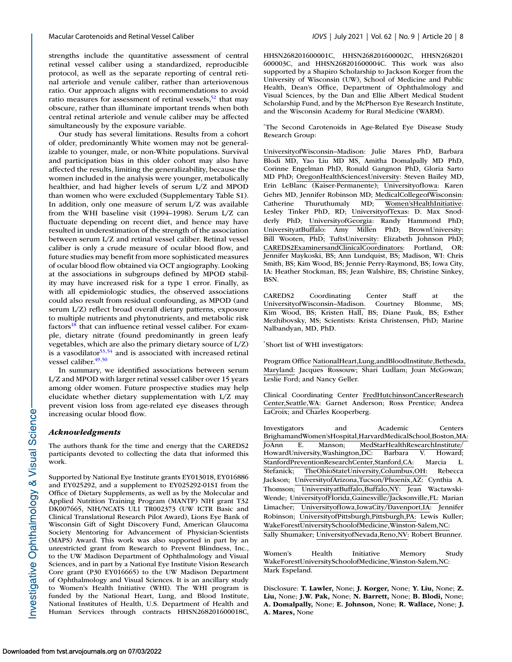strengths include the quantitative assessment of central retinal vessel caliber using a standardized, reproducible protocol, as well as the separate reporting of central retinal arteriole and venule caliber, rather than arteriovenous ratio. Our approach aligns with recommendations to avoid ratio measures for assessment of retinal vessels,  $52$  that may obscure, rather than illuminate important trends when both central retinal arteriole and venule caliber may be affected simultaneously by the exposure variable.

Our study has several limitations. Results from a cohort of older, predominantly White women may not be generalizable to younger, male, or non-White populations. Survival and participation bias in this older cohort may also have affected the results, limiting the generalizability, because the women included in the analysis were younger, metabolically healthier, and had higher levels of serum L/Z and MPOD than women who were excluded (Supplementary Table S1). In addition, only one measure of serum L/Z was available from the WHI baseline visit (1994–1998). Serum L/Z can fluctuate depending on recent diet, and hence may have resulted in underestimation of the strength of the association between serum L/Z and retinal vessel caliber. Retinal vessel caliber is only a crude measure of ocular blood flow, and future studies may benefit from more sophisticated measures of ocular blood flow obtained via OCT angiography. Looking at the associations in subgroups defined by MPOD stability may have increased risk for a type 1 error. Finally, as with all epidemiologic studies, the observed associations could also result from residual confounding, as MPOD (and serum L/Z) reflect broad overall dietary patterns, exposure to multiple nutrients and phytonutrients, and metabolic risk  $factors<sup>18</sup>$  that can influence retinal vessel caliber. For example, dietary nitrate (found predominantly in green leafy vegetables, which are also the primary dietary source of L/Z) is a vasodilator  $53,54$  and is associated with increased retinal vessel caliber.<sup>49,50</sup>

In summary, we identified associations between serum L/Z and MPOD with larger retinal vessel caliber over 15 years among older women. Future prospective studies may help elucidate whether dietary supplementation with L/Z may prevent vision loss from age-related eye diseases through increasing ocular blood flow.

# *Acknowledgments*

The authors thank for the time and energy that the CAREDS2 participants devoted to collecting the data that informed this work.

Supported by National Eye Institute grants EY013018, EY016886 and EY025292, and a supplement to EY025292-01S1 from the Office of Dietary Supplements, as well as by the Molecular and Applied Nutrition Training Program (MANTP) NIH grant T32 DK007665, NIH/NCATS UL1 TR002373 (UW ICTR Basic and Clinical Translational Research Pilot Award), Lions Eye Bank of Wisconsin Gift of Sight Discovery Fund, American Glaucoma Society Mentoring for Advancement of Physician-Scientists (MAPS) Award. This work was also supported in part by an unrestricted grant from Research to Prevent Blindness, Inc., to the UW Madison Department of Ophthalmology and Visual Sciences, and in part by a National Eye Institute Vision Research Core grant (P30 EY016665) to the UW Madison Department of Ophthalmology and Visual Sciences. It is an ancillary study to Women's Health Initiative (WHI). The WHI program is funded by the National Heart, Lung, and Blood Institute, National Institutes of Health, U.S. Department of Health and Human Services through contracts HHSN268201600018C,

HHSN268201600001C, HHSN268201600002C, HHSN268201 600003C, and HHSN268201600004C. This work was also supported by a Shapiro Scholarship to Jackson Korger from the University of Wisconsin (UW), School of Medicine and Public Health, Dean's Office, Department of Ophthalmology and Visual Sciences, by the Dan and Ellie Albert Medical Student Scholarship Fund, and by the McPherson Eye Research Institute, and the Wisconsin Academy for Rural Medicine (WARM).

\* The Second Carotenoids in Age-Related Eye Disease Study Research Group:

UniversityofWisconsin–Madison: Julie Mares PhD, Barbara Blodi MD, Yao Liu MD MS, Amitha Domalpally MD PhD, Corinne Engelman PhD, Ronald Gangnon PhD, Gloria Sarto MD PhD; OregonHealthSciencesUniversity: Steven Bailey MD, Erin LeBlanc (Kaiser-Permanente); UniversityofIowa: Karen Gehrs MD, Jennifer Robinson MD; MedicalCollegeofWisconsin: Catherine Thuruthumaly MD; Women'sHealthInitiative: Lesley Tinker PhD, RD; UniversityofTexas: D. Max Snodderly PhD; UniversityofGeorgia: Randy Hammond PhD; UniversityatBuffalo: Amy Millen PhD; BrownUniversity: Bill Wooten, PhD; TuftsUniversity: Elizabeth Johnson PhD; CAREDS2ExaminersandClinicalCoordinators: Portland, OR: Jennifer Maykoski, BS; Ann Lundquist, BS; Madison, WI: Chris Smith, BS; Kim Wood, BS; Jennie Perry-Raymond, BS; Iowa City, IA: Heather Stockman, BS; Jean Walshire, BS; Christine Sinkey, BSN.

CAREDS2 Coordinating Center Staff at the UniversityofWisconsin–Madison. Courtney Blomme, MS; Kim Wood, BS; Kristen Hall, BS; Diane Pauk, BS; Esther Mezhibovsky, MS; Scientists: Krista Christensen, PhD; Marine Nalbandyan, MD, PhD.

\* Short list of WHI investigators:

Program Office NationalHeart,Lung,andBloodInstitute,Bethesda, Maryland: Jacques Rossouw; Shari Ludlam; Joan McGowan; Leslie Ford; and Nancy Geller.

Clinical Coordinating Center FredHutchinsonCancerResearch Center,Seattle,WA: Garnet Anderson; Ross Prentice; Andrea LaCroix; and Charles Kooperberg.

Investigators and Academic Centers BrighamandWomen'sHospital,HarvardMedicalSchool,Boston,MA: JoAnn E. Manson; MedStarHealthResearchInstitute/<br>HowardUniversity.Washington.DC: Barbara V. Howard: HowardUniversity,Washington,DC: Barbara V. Howard; StanfordPreventionResearchCenter,Stanford,CA: Marcia L. Stefanick; TheOhioStateUniversity,Columbus,OH: Rebecca Jackson; UniversityofArizona,Tucson/Phoenix,AZ: Cynthia A. Thomson; UniversityatBuffalo,Buffalo,NY: Jean Wactawski-Wende; UniversityofFlorida,Gainesville/Jacksonville,FL: Marian Limacher; UniversityofIowa,IowaCity/Davenport,IA: Jennifer Robinson; UniversityofPittsburgh,Pittsburgh,PA: Lewis Kuller; WakeForestUniversitySchoolofMedicine,Winston-Salem,NC: Sally Shumaker; UniversityofNevada,Reno,NV: Robert Brunner.

Women's Health Initiative Memory Study WakeForestUniversitySchoolofMedicine,Winston-Salem,NC: Mark Espeland.

Disclosure: **T. Lawler,** None; **J. Korger,** None; **Y. Liu,** None; **Z. Liu,** None; **J.W. Pak,** None; **N. Barrett,** None; **B. Blodi,** None; **A. Domalpally,** None; **E. Johnson,** None; **R. Wallace,** None; **J. A. Mares,** None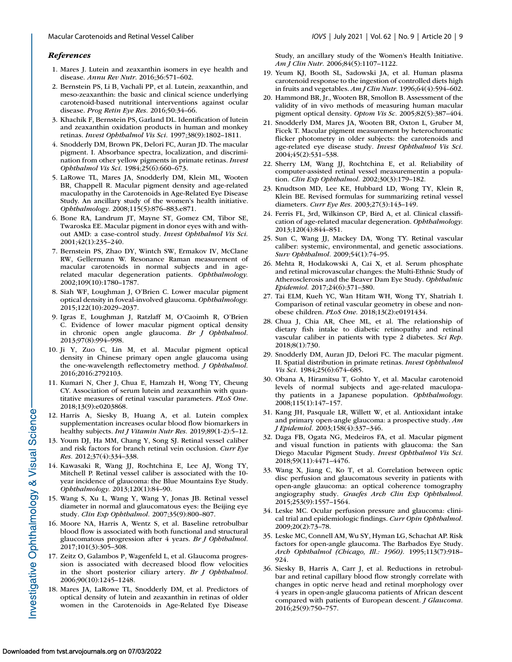#### <span id="page-8-0"></span>*References*

- 1. Mares J. Lutein and zeaxanthin isomers in eye health and disease. *Annu Rev Nutr*. 2016;36:571–602.
- 2. Bernstein PS, Li B, Vachali PP, et al. Lutein, zeaxanthin, and meso-zeaxanthin: the basic and clinical science underlying carotenoid-based nutritional interventions against ocular disease. *Prog Retin Eye Res.* 2016;50:34–66.
- 3. Khachik F, Bernstein PS, Garland DL. Identification of lutein and zeaxanthin oxidation products in human and monkey retinas. *Invest Ophthalmol Vis Sci.* 1997;38(9):1802–1811.
- 4. Snodderly DM, Brown PK, Delori FC, Auran JD. The macular pigment. I. Absorbance spectra, localization, and discrimination from other yellow pigments in primate retinas. *Invest Ophthalmol Vis Sci.* 1984;25(6):660–673.
- 5. LaRowe TL, Mares JA, Snodderly DM, Klein ML, Wooten BR, Chappell R. Macular pigment density and age-related maculopathy in the Carotenoids in Age-Related Eye Disease Study. An ancillary study of the women's health initiative. *Ophthalmology.* 2008;115(5):876–883.e871.
- 6. Bone RA, Landrum JT, Mayne ST, Gomez CM, Tibor SE, Twaroska EE. Macular pigment in donor eyes with and without AMD: a case-control study. *Invest Ophthalmol Vis Sci.* 2001;42(1):235–240.
- 7. Bernstein PS, Zhao DY, Wintch SW, Ermakov IV, McClane RW, Gellermann W. Resonance Raman measurement of macular carotenoids in normal subjects and in agerelated macular degeneration patients. *Ophthalmology.* 2002;109(10):1780–1787.
- 8. Siah WF, Loughman J, O'Brien C. Lower macular pigment optical density in foveal-involved glaucoma. *Ophthalmology.* 2015;122(10):2029–2037.
- 9. Igras E, Loughman J, Ratzlaff M, O'Caoimh R, O'Brien C. Evidence of lower macular pigment optical density in chronic open angle glaucoma. *Br J Ophthalmol.* 2013;97(8):994–998.
- 10. Ji Y, Zuo C, Lin M, et al. Macular pigment optical density in Chinese primary open angle glaucoma using the one-wavelength reflectometry method. *J Ophthalmol.* 2016;2016:2792103.
- 11. Kumari N, Cher J, Chua E, Hamzah H, Wong TY, Cheung CY. Association of serum lutein and zeaxanthin with quantitative measures of retinal vascular parameters. *PLoS One.* 2018;13(9):e0203868.
- 12. Harris A, Siesky B, Huang A, et al. Lutein complex supplementation increases ocular blood flow biomarkers in healthy subjects. *Int J Vitamin Nutr Res.* 2019;89(1-2):5–12.
- 13. Youm DJ, Ha MM, Chang Y, Song SJ. Retinal vessel caliber and risk factors for branch retinal vein occlusion. *Curr Eye Res.* 2012;37(4):334–338.
- 14. Kawasaki R, Wang JJ, Rochtchina E, Lee AJ, Wong TY, Mitchell P. Retinal vessel caliber is associated with the 10 year incidence of glaucoma: the Blue Mountains Eye Study. *Ophthalmology.* 2013;120(1):84–90.
- 15. Wang S, Xu L, Wang Y, Wang Y, Jonas JB. Retinal vessel diameter in normal and glaucomatous eyes: the Beijing eye study. *Clin Exp Ophthalmol.* 2007;35(9):800–807.
- 16. Moore NA, Harris A, Wentz S, et al. Baseline retrobulbar blood flow is associated with both functional and structural glaucomatous progression after 4 years. *Br J Ophthalmol.* 2017;101(3):305–308.
- 17. Zeitz O, Galambos P, Wagenfeld L, et al. Glaucoma progression is associated with decreased blood flow velocities in the short posterior ciliary artery. *Br J Ophthalmol.* 2006;90(10):1245–1248.
- 18. Mares JA, LaRowe TL, Snodderly DM, et al. Predictors of optical density of lutein and zeaxanthin in retinas of older women in the Carotenoids in Age-Related Eye Disease

Study, an ancillary study of the Women's Health Initiative. *Am J Clin Nutr.* 2006;84(5):1107–1122.

- 19. Yeum KJ, Booth SL, Sadowski JA, et al. Human plasma carotenoid response to the ingestion of controlled diets high in fruits and vegetables. *Am J Clin Nutr.* 1996;64(4):594–602.
- 20. Hammond BR, Jr., Wooten BR, Smollon B. Assessment of the validity of in vivo methods of measuring human macular pigment optical density. *Optom Vis Sc.* 2005;82(5):387–404.
- 21. Snodderly DM, Mares JA, Wooten BR, Oxton L, Gruber M, Ficek T. Macular pigment measurement by heterochromatic flicker photometry in older subjects: the carotenoids and age-related eye disease study. *Invest Ophthalmol Vis Sci.* 2004;45(2):531–538.
- 22. Sherry LM, Wang JJ, Rochtchina E, et al. Reliability of computer-assisted retinal vessel measurementin a population. *Clin Exp Ophthalmol.* 2002;30(3):179–182.
- 23. Knudtson MD, Lee KE, Hubbard LD, Wong TY, Klein R, Klein BE. Revised formulas for summarizing retinal vessel diameters. *Curr Eye Res.* 2003;27(3):143–149.
- 24. Ferris FL, 3rd, Wilkinson CP, Bird A, et al. Clinical classification of age-related macular degeneration. *Ophthalmology.* 2013;120(4):844–851.
- 25. Sun C, Wang JJ, Mackey DA, Wong TY. Retinal vascular caliber: systemic, environmental, and genetic associations. *Surv Ophthalmol.* 2009;54(1):74–95.
- 26. Mehta R, Hodakowski A, Cai X, et al. Serum phosphate and retinal microvascular changes: the Multi-Ethnic Study of Atherosclerosis and the Beaver Dam Eye Study. *Ophthalmic Epidemiol.* 2017;24(6):371–380.
- 27. Tai ELM, Kueh YC, Wan Hitam WH, Wong TY, Shatriah I. Comparison of retinal vascular geometry in obese and nonobese children. *PLoS One.* 2018;13(2):e0191434.
- 28. Chua J, Chia AR, Chee ML, et al. The relationship of dietary fish intake to diabetic retinopathy and retinal vascular caliber in patients with type 2 diabetes. *Sci Rep.* 2018;8(1):730.
- 29. Snodderly DM, Auran JD, Delori FC. The macular pigment. II. Spatial distribution in primate retinas. *Invest Ophthalmol Vis Sci.* 1984;25(6):674–685.
- 30. Obana A, Hiramitsu T, Gohto Y, et al. Macular carotenoid levels of normal subjects and age-related maculopathy patients in a Japanese population. *Ophthalmology.* 2008;115(1):147–157.
- 31. Kang JH, Pasquale LR, Willett W, et al. Antioxidant intake and primary open-angle glaucoma: a prospective study. *Am J Epidemiol.* 2003;158(4):337–346.
- 32. Daga FB, Ogata NG, Medeiros FA, et al. Macular pigment and visual function in patients with glaucoma: the San Diego Macular Pigment Study. *Invest Ophthalmol Vis Sci.* 2018;59(11):4471–4476.
- 33. Wang X, Jiang C, Ko T, et al. Correlation between optic disc perfusion and glaucomatous severity in patients with open-angle glaucoma: an optical coherence tomography angiography study. *Graefes Arch Clin Exp Ophthalmol.* 2015;253(9):1557–1564.
- 34. Leske MC. Ocular perfusion pressure and glaucoma: clinical trial and epidemiologic findings. *Curr Opin Ophthalmol.* 2009;20(2):73–78.
- 35. Leske MC, Connell AM, Wu SY, Hyman LG, Schachat AP. Risk factors for open-angle glaucoma. The Barbados Eye Study. *Arch Ophthalmol (Chicago, Ill.: 1960).* 1995;113(7):918– 924.
- 36. Siesky B, Harris A, Carr J, et al. Reductions in retrobulbar and retinal capillary blood flow strongly correlate with changes in optic nerve head and retinal morphology over 4 years in open-angle glaucoma patients of African descent compared with patients of European descent. *J Glaucoma.* 2016;25(9):750–757.